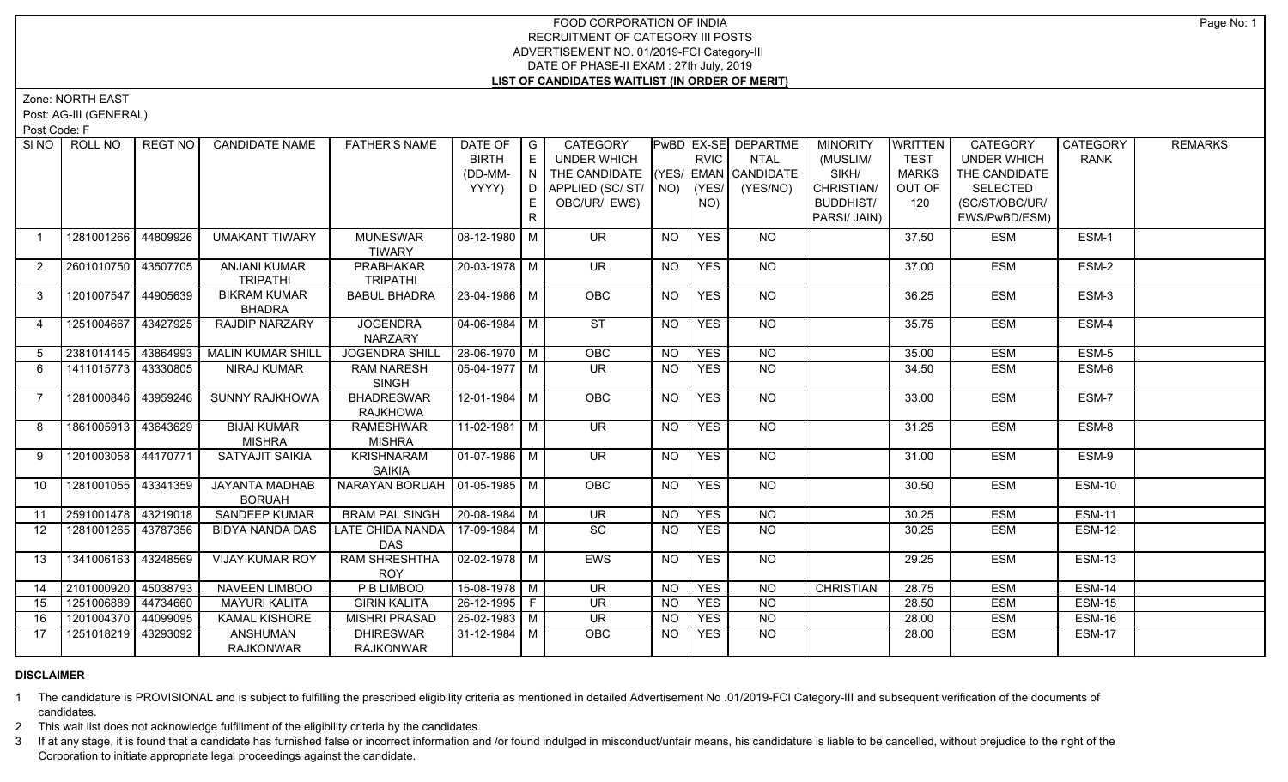## FOOD CORPORATION OF INDIA RECRUITMENT OF CATEGORY III POSTS ADVERTISEMENT NO. 01/2019-FCI Category-III DATE OF PHASE-II EXAM : 27th July, 2019 **LIST OF CANDIDATES WAITLIST (IN ORDER OF MERIT)**

Zone: NORTH EAST

Post: AG-III (GENERAL)

Post Code: F

| SI <sub>NO</sub> | ROLL NO               | <b>REGT NO</b> | <b>CANDIDATE NAME</b>    | <b>FATHER'S NAME</b>              | DATE OF               | $\overline{\phantom{a}}$ G | CATEGORY                           |           |             | PwBD EX-SE DEPARTME | <b>MINORITY</b>  | WRITTEN      | CATEGORY           | CATEGORY      | <b>REMARKS</b> |
|------------------|-----------------------|----------------|--------------------------|-----------------------------------|-----------------------|----------------------------|------------------------------------|-----------|-------------|---------------------|------------------|--------------|--------------------|---------------|----------------|
|                  |                       |                |                          |                                   | <b>BIRTH</b>          | E                          | UNDER WHICH                        |           | <b>RVIC</b> | <b>NTAL</b>         | (MUSLIM/         | <b>TEST</b>  | <b>UNDER WHICH</b> | <b>RANK</b>   |                |
|                  |                       |                |                          |                                   | (DD-MM-               | N                          | THE CANDIDATE (YES/ EMAN CANDIDATE |           |             |                     | SIKH/            | <b>MARKS</b> | THE CANDIDATE      |               |                |
|                  |                       |                |                          |                                   | YYYY)                 | D.                         | APPLIED (SC/ST/ $\vert$ NO)        |           | (YES/       | (YES/NO)            | CHRISTIAN/       | OUT OF       | <b>SELECTED</b>    |               |                |
|                  |                       |                |                          |                                   |                       |                            | OBC/UR/ EWS)                       |           | NO)         |                     | <b>BUDDHIST/</b> | 120          | (SC/ST/OBC/UR/     |               |                |
|                  |                       |                |                          |                                   |                       | R.                         |                                    |           |             |                     | PARSI/ JAIN)     |              | EWS/PwBD/ESM)      |               |                |
| $\overline{1}$   | 1281001266            | 44809926       | <b>UMAKANT TIWARY</b>    | <b>MUNESWAR</b>                   | 08-12-1980 M          |                            | <b>UR</b>                          | NO        | <b>YES</b>  | <b>NO</b>           |                  | 37.50        | <b>ESM</b>         | ESM-1         |                |
|                  |                       |                |                          | <b>TIWARY</b>                     |                       |                            |                                    |           |             |                     |                  |              |                    |               |                |
| $\overline{2}$   | 2601010750 43507705   |                | <b>ANJANI KUMAR</b>      | PRABHAKAR                         | 20-03-1978 M          |                            | UR.                                | <b>NO</b> | <b>YES</b>  | NO                  |                  | 37.00        | <b>ESM</b>         | ESM-2         |                |
|                  |                       |                | <b>TRIPATHI</b>          | <b>TRIPATHI</b>                   |                       |                            |                                    |           |             |                     |                  |              |                    |               |                |
| $\mathbf{3}$     | 1201007547 44905639   |                | <b>BIKRAM KUMAR</b>      | <b>BABUL BHADRA</b>               | 23-04-1986 M          |                            | OBC                                | <b>NO</b> | <b>YES</b>  | NO                  |                  | 36.25        | <b>ESM</b>         | ESM-3         |                |
|                  |                       |                | <b>BHADRA</b>            |                                   |                       |                            |                                    |           |             |                     |                  |              |                    |               |                |
| $\overline{4}$   | 1251004667 43427925   |                | <b>RAJDIP NARZARY</b>    | <b>JOGENDRA</b>                   | $04 - 06 - 1984$ M    |                            | ST                                 | <b>NO</b> | <b>YES</b>  | $\overline{NO}$     |                  | 35.75        | <b>ESM</b>         | ESM-4         |                |
|                  |                       |                |                          | NARZARY                           |                       |                            |                                    |           |             |                     |                  |              |                    |               |                |
| 5                | 2381014145 43864993   |                | <b>MALIN KUMAR SHILL</b> | <b>JOGENDRA SHILL</b>             | $28-06-1970$ M        |                            | OBC                                | <b>NO</b> | <b>YES</b>  | $N$ <sup>O</sup>    |                  | 35.00        | <b>ESM</b>         | ESM-5         |                |
| 6                | 1411015773 43330805   |                | <b>NIRAJ KUMAR</b>       | <b>RAM NARESH</b>                 | 05-04-1977   M        |                            | UR.                                | <b>NO</b> | <b>YES</b>  | NO                  |                  | 34.50        | <b>ESM</b>         | ESM-6         |                |
|                  |                       |                |                          | <b>SINGH</b>                      |                       |                            |                                    |           |             |                     |                  |              |                    |               |                |
| $\overline{7}$   | 1281000846            | 43959246       | <b>SUNNY RAJKHOWA</b>    | <b>BHADRESWAR</b>                 | $12 - 01 - 1984$ M    |                            | <b>OBC</b>                         | NO        | <b>YES</b>  | NO.                 |                  | 33.00        | <b>ESM</b>         | ESM-7         |                |
|                  |                       |                |                          | <b>RAJKHOWA</b>                   |                       |                            |                                    |           |             |                     |                  |              |                    |               |                |
| 8                | 1861005913 43643629   |                | <b>BIJAI KUMAR</b>       | <b>RAMESHWAR</b>                  | $11-02-1981$ M        |                            | <b>UR</b>                          | <b>NO</b> | <b>YES</b>  | NO                  |                  | 31.25        | <b>ESM</b>         | ESM-8         |                |
|                  |                       |                | <b>MISHRA</b>            | <b>MISHRA</b>                     |                       |                            |                                    |           |             |                     |                  |              |                    |               |                |
| 9                | 1201003058 44170771   |                | SATYAJIT SAIKIA          | <b>KRISHNARAM</b>                 | 01-07-1986 M          |                            | $\overline{\mathsf{UR}}$           | <b>NO</b> | <b>YES</b>  | $N$ <sup>O</sup>    |                  | 31.00        | <b>ESM</b>         | ESM-9         |                |
|                  |                       |                |                          | <b>SAIKIA</b>                     |                       |                            |                                    |           |             |                     |                  |              |                    |               |                |
| 10               | 1281001055 43341359   |                | JAYANTA MADHAB           | NARAYAN BORUAH   01-05-1985   M   |                       |                            | <b>OBC</b>                         | <b>NO</b> | <b>YES</b>  | NO                  |                  | 30.50        | <b>ESM</b>         | ESM-10        |                |
|                  |                       |                | <b>BORUAH</b>            |                                   |                       |                            |                                    |           |             |                     |                  |              |                    |               |                |
| 11               | 2591001478 43219018   |                | SANDEEP KUMAR            | <b>BRAM PAL SINGH</b>             | $20-08-1984$ M        |                            | UR                                 | NO        | <b>YES</b>  | <b>NO</b>           |                  | 30.25        | <b>ESM</b>         | <b>ESM-11</b> |                |
| 12               | 1281001265 43787356   |                | BIDYA NANDA DAS          | LATE CHIDA NANDA   17-09-1984   M |                       |                            | $\overline{SC}$                    | <b>NO</b> | <b>YES</b>  | NO                  |                  | 30.25        | <b>ESM</b>         | <b>ESM-12</b> |                |
|                  |                       |                |                          | <b>DAS</b>                        |                       |                            |                                    |           |             |                     |                  |              |                    |               |                |
| 13               | 1341006163            | 43248569       | VIJAY KUMAR ROY          | <b>RAM SHRESHTHA</b>              | $\sqrt{02-02-1978}$ M |                            | <b>EWS</b>                         | NO        | <b>YES</b>  | NO                  |                  | 29.25        | <b>ESM</b>         | <b>ESM-13</b> |                |
|                  |                       |                |                          | <b>ROY</b>                        |                       |                            |                                    |           |             |                     |                  |              |                    |               |                |
| 14               | 2101000920 45038793   |                | NAVEEN LIMBOO            | P B LIMBOO                        | $15-08-1978$ M        |                            | $\overline{\mathsf{UR}}$           | <b>NO</b> | <b>YES</b>  | <b>NO</b>           | <b>CHRISTIAN</b> | 28.75        | <b>ESM</b>         | <b>ESM-14</b> |                |
| 15               | 1251006889 44734660   |                | <b>MAYURI KALITA</b>     | <b>GIRIN KALITA</b>               | 26-12-1995 F          |                            | <b>UR</b>                          | <b>NO</b> | <b>YES</b>  | <b>NO</b>           |                  | 28.50        | <b>ESM</b>         | <b>ESM-15</b> |                |
| 16               | 1201004370 44099095   |                | <b>KAMAL KISHORE</b>     | <b>MISHRI PRASAD</b>              | $ 25-02-1983 $ M      |                            | <b>UR</b>                          | <b>NO</b> | <b>YES</b>  | <b>NO</b>           |                  | 28.00        | <b>ESM</b>         | <b>ESM-16</b> |                |
| 17               | 1251018219   43293092 |                | <b>ANSHUMAN</b>          | <b>DHIRESWAR</b>                  | 31-12-1984 M          |                            | OBC                                | <b>NO</b> | <b>YES</b>  | <b>NO</b>           |                  | 28.00        | <b>ESM</b>         | <b>ESM-17</b> |                |
|                  |                       |                | <b>RAJKONWAR</b>         | <b>RAJKONWAR</b>                  |                       |                            |                                    |           |             |                     |                  |              |                    |               |                |

## **DISCLAIMER**

1 The candidature is PROVISIONAL and is subject to fulfilling the prescribed eligibility criteria as mentioned in detailed Advertisement No .01/2019-FCI Category-III and subsequent verification of the documents of candidates.

2 This wait list does not acknowledge fulfillment of the eligibility criteria by the candidates.

3 If at any stage, it is found that a candidate has furnished false or incorrect information and /or found indulged in misconduct/unfair means, his candidature is liable to be cancelled, without prejudice to the right of t Corporation to initiate appropriate legal proceedings against the candidate.

Page No: 1